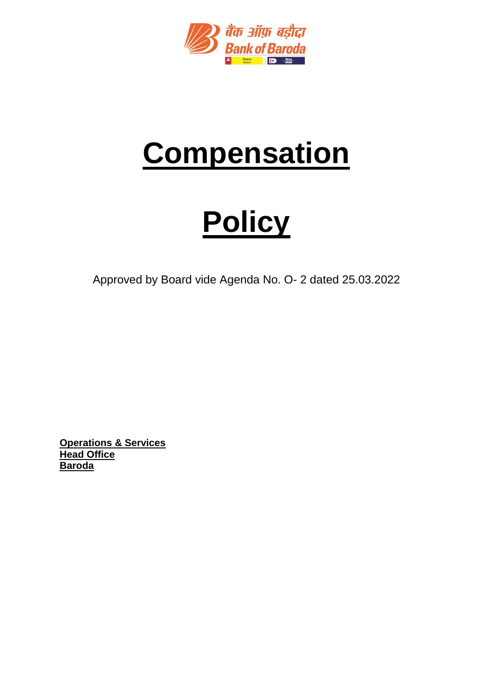

# **Compensation**

# **Policy**

Approved by Board vide Agenda No. O- 2 dated 25.03.2022

**Operations & Services Head Office Baroda**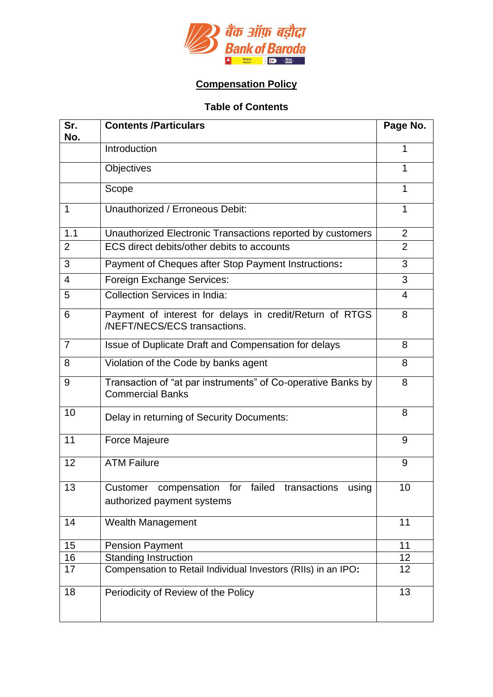

# **Compensation Policy**

# **Table of Contents**

| Sr.<br>No.     | <b>Contents /Particulars</b>                                                            | Page No.        |
|----------------|-----------------------------------------------------------------------------------------|-----------------|
|                | Introduction                                                                            | 1               |
|                | Objectives                                                                              | 1               |
|                | Scope                                                                                   | 1               |
| 1              | Unauthorized / Erroneous Debit:                                                         | 1               |
| 1.1            | Unauthorized Electronic Transactions reported by customers                              | $\overline{2}$  |
| $\overline{2}$ | ECS direct debits/other debits to accounts                                              | $\overline{2}$  |
| 3              | Payment of Cheques after Stop Payment Instructions:                                     | 3               |
| 4              | Foreign Exchange Services:                                                              | 3               |
| 5              | <b>Collection Services in India:</b>                                                    | 4               |
| 6              | Payment of interest for delays in credit/Return of RTGS<br>/NEFT/NECS/ECS transactions. | 8               |
| $\overline{7}$ | Issue of Duplicate Draft and Compensation for delays                                    | 8               |
| 8              | Violation of the Code by banks agent                                                    | 8               |
| 9              | Transaction of "at par instruments" of Co-operative Banks by<br><b>Commercial Banks</b> | 8               |
| 10             | Delay in returning of Security Documents:                                               | 8               |
| 11             | <b>Force Majeure</b>                                                                    | 9               |
| 12             | <b>ATM Failure</b>                                                                      | 9               |
| 13             | Customer compensation for failed transactions using<br>authorized payment systems       | 10              |
| 14             | Wealth Management                                                                       | 11              |
| 15             | <b>Pension Payment</b>                                                                  | 11              |
| 16             | <b>Standing Instruction</b>                                                             | 12              |
| 17             | Compensation to Retail Individual Investors (RIIs) in an IPO:                           | 12 <sub>2</sub> |
| 18             | Periodicity of Review of the Policy                                                     | 13              |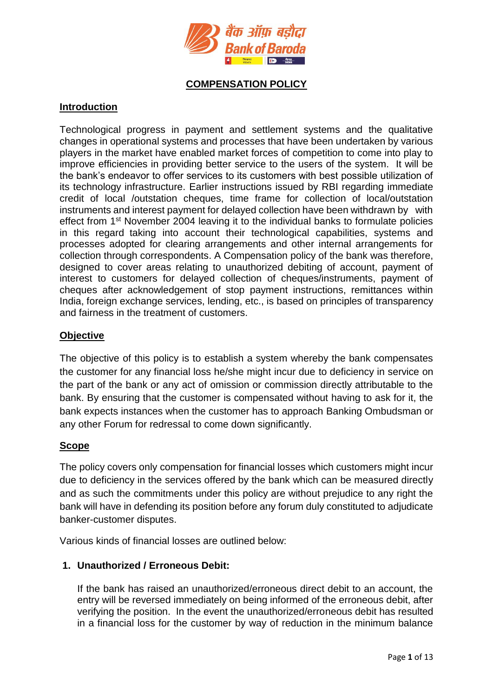

# **COMPENSATION POLICY**

# **Introduction**

Technological progress in payment and settlement systems and the qualitative changes in operational systems and processes that have been undertaken by various players in the market have enabled market forces of competition to come into play to improve efficiencies in providing better service to the users of the system. It will be the bank's endeavor to offer services to its customers with best possible utilization of its technology infrastructure. Earlier instructions issued by RBI regarding immediate credit of local /outstation cheques, time frame for collection of local/outstation instruments and interest payment for delayed collection have been withdrawn by with effect from 1st November 2004 leaving it to the individual banks to formulate policies in this regard taking into account their technological capabilities, systems and processes adopted for clearing arrangements and other internal arrangements for collection through correspondents. A Compensation policy of the bank was therefore, designed to cover areas relating to unauthorized debiting of account, payment of interest to customers for delayed collection of cheques/instruments, payment of cheques after acknowledgement of stop payment instructions, remittances within India, foreign exchange services, lending, etc., is based on principles of transparency and fairness in the treatment of customers.

# **Objective**

The objective of this policy is to establish a system whereby the bank compensates the customer for any financial loss he/she might incur due to deficiency in service on the part of the bank or any act of omission or commission directly attributable to the bank. By ensuring that the customer is compensated without having to ask for it, the bank expects instances when the customer has to approach Banking Ombudsman or any other Forum for redressal to come down significantly.

#### **Scope**

The policy covers only compensation for financial losses which customers might incur due to deficiency in the services offered by the bank which can be measured directly and as such the commitments under this policy are without prejudice to any right the bank will have in defending its position before any forum duly constituted to adjudicate banker-customer disputes.

Various kinds of financial losses are outlined below:

# **1. Unauthorized / Erroneous Debit:**

If the bank has raised an unauthorized/erroneous direct debit to an account, the entry will be reversed immediately on being informed of the erroneous debit, after verifying the position. In the event the unauthorized/erroneous debit has resulted in a financial loss for the customer by way of reduction in the minimum balance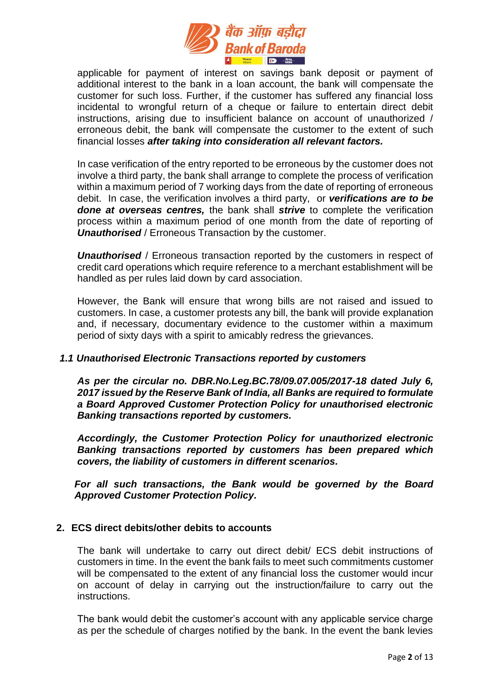

applicable for payment of interest on savings bank deposit or payment of additional interest to the bank in a loan account, the bank will compensate the customer for such loss. Further, if the customer has suffered any financial loss incidental to wrongful return of a cheque or failure to entertain direct debit instructions, arising due to insufficient balance on account of unauthorized / erroneous debit, the bank will compensate the customer to the extent of such financial losses *after taking into consideration all relevant factors.*

In case verification of the entry reported to be erroneous by the customer does not involve a third party, the bank shall arrange to complete the process of verification within a maximum period of 7 working days from the date of reporting of erroneous debit. In case, the verification involves a third party, or *verifications are to be done at overseas centres,* the bank shall *strive* to complete the verification process within a maximum period of one month from the date of reporting of *Unauthorised* / Erroneous Transaction by the customer.

*Unauthorised* / Erroneous transaction reported by the customers in respect of credit card operations which require reference to a merchant establishment will be handled as per rules laid down by card association.

However, the Bank will ensure that wrong bills are not raised and issued to customers. In case, a customer protests any bill, the bank will provide explanation and, if necessary, documentary evidence to the customer within a maximum period of sixty days with a spirit to amicably redress the grievances.

# *1.1 Unauthorised Electronic Transactions reported by customers*

*As per the circular no. DBR.No.Leg.BC.78/09.07.005/2017-18 dated July 6, 2017 issued by the Reserve Bank of India, all Banks are required to formulate a Board Approved Customer Protection Policy for unauthorised electronic Banking transactions reported by customers.*

*Accordingly, the Customer Protection Policy for unauthorized electronic Banking transactions reported by customers has been prepared which covers, the liability of customers in different scenarios.*

*For all such transactions, the Bank would be governed by the Board Approved Customer Protection Policy.*

#### **2. ECS direct debits/other debits to accounts**

The bank will undertake to carry out direct debit/ ECS debit instructions of customers in time. In the event the bank fails to meet such commitments customer will be compensated to the extent of any financial loss the customer would incur on account of delay in carrying out the instruction/failure to carry out the instructions.

The bank would debit the customer's account with any applicable service charge as per the schedule of charges notified by the bank. In the event the bank levies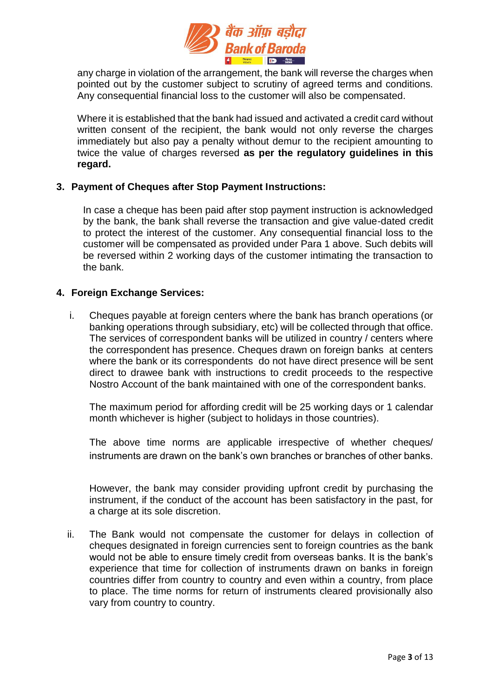

any charge in violation of the arrangement, the bank will reverse the charges when pointed out by the customer subject to scrutiny of agreed terms and conditions. Any consequential financial loss to the customer will also be compensated.

Where it is established that the bank had issued and activated a credit card without written consent of the recipient, the bank would not only reverse the charges immediately but also pay a penalty without demur to the recipient amounting to twice the value of charges reversed **as per the regulatory guidelines in this regard.**

#### **3. Payment of Cheques after Stop Payment Instructions:**

In case a cheque has been paid after stop payment instruction is acknowledged by the bank, the bank shall reverse the transaction and give value-dated credit to protect the interest of the customer. Any consequential financial loss to the customer will be compensated as provided under Para 1 above. Such debits will be reversed within 2 working days of the customer intimating the transaction to the bank.

#### **4. Foreign Exchange Services:**

i. Cheques payable at foreign centers where the bank has branch operations (or banking operations through subsidiary, etc) will be collected through that office. The services of correspondent banks will be utilized in country / centers where the correspondent has presence. Cheques drawn on foreign banks at centers where the bank or its correspondents do not have direct presence will be sent direct to drawee bank with instructions to credit proceeds to the respective Nostro Account of the bank maintained with one of the correspondent banks.

The maximum period for affording credit will be 25 working days or 1 calendar month whichever is higher (subject to holidays in those countries).

The above time norms are applicable irrespective of whether cheques/ instruments are drawn on the bank's own branches or branches of other banks.

However, the bank may consider providing upfront credit by purchasing the instrument, if the conduct of the account has been satisfactory in the past, for a charge at its sole discretion.

ii. The Bank would not compensate the customer for delays in collection of cheques designated in foreign currencies sent to foreign countries as the bank would not be able to ensure timely credit from overseas banks. It is the bank's experience that time for collection of instruments drawn on banks in foreign countries differ from country to country and even within a country, from place to place. The time norms for return of instruments cleared provisionally also vary from country to country.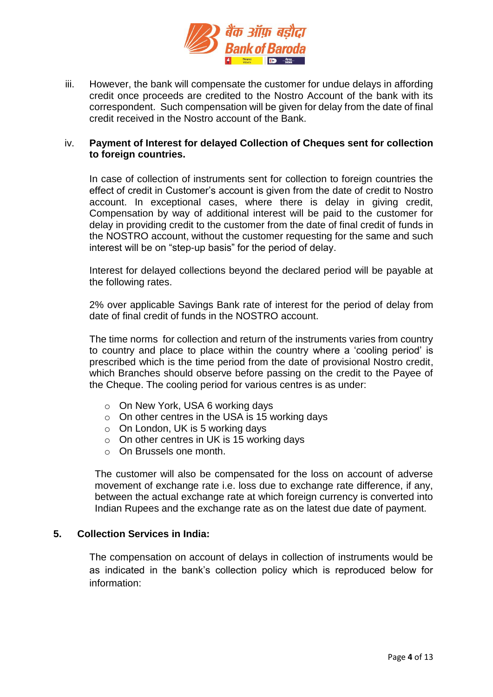

iii. However, the bank will compensate the customer for undue delays in affording credit once proceeds are credited to the Nostro Account of the bank with its correspondent. Such compensation will be given for delay from the date of final credit received in the Nostro account of the Bank.

#### iv. **Payment of Interest for delayed Collection of Cheques sent for collection to foreign countries.**

In case of collection of instruments sent for collection to foreign countries the effect of credit in Customer's account is given from the date of credit to Nostro account. In exceptional cases, where there is delay in giving credit, Compensation by way of additional interest will be paid to the customer for delay in providing credit to the customer from the date of final credit of funds in the NOSTRO account, without the customer requesting for the same and such interest will be on "step-up basis" for the period of delay.

Interest for delayed collections beyond the declared period will be payable at the following rates.

2% over applicable Savings Bank rate of interest for the period of delay from date of final credit of funds in the NOSTRO account.

The time norms for collection and return of the instruments varies from country to country and place to place within the country where a 'cooling period' is prescribed which is the time period from the date of provisional Nostro credit, which Branches should observe before passing on the credit to the Payee of the Cheque. The cooling period for various centres is as under:

- o On New York, USA 6 working days
- o On other centres in the USA is 15 working days
- $\circ$  On London, UK is 5 working days
- o On other centres in UK is 15 working days
- o On Brussels one month.

The customer will also be compensated for the loss on account of adverse movement of exchange rate i.e. loss due to exchange rate difference, if any, between the actual exchange rate at which foreign currency is converted into Indian Rupees and the exchange rate as on the latest due date of payment.

# **5. Collection Services in India:**

The compensation on account of delays in collection of instruments would be as indicated in the bank's collection policy which is reproduced below for information: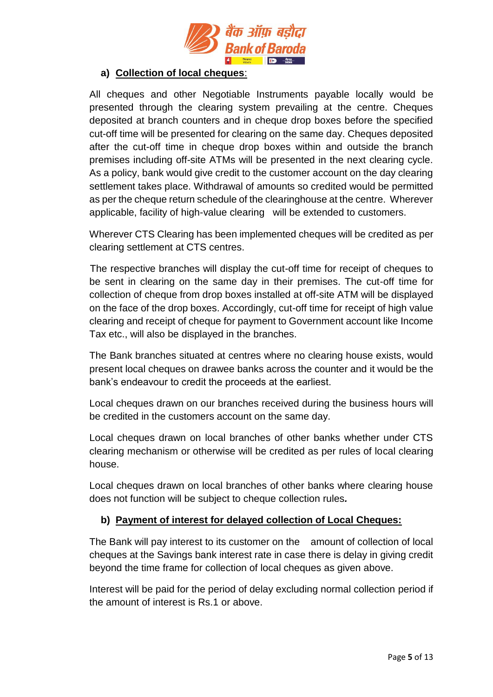

# **a) Collection of local cheques**:

All cheques and other Negotiable Instruments payable locally would be presented through the clearing system prevailing at the centre. Cheques deposited at branch counters and in cheque drop boxes before the specified cut-off time will be presented for clearing on the same day. Cheques deposited after the cut-off time in cheque drop boxes within and outside the branch premises including off-site ATMs will be presented in the next clearing cycle. As a policy, bank would give credit to the customer account on the day clearing settlement takes place. Withdrawal of amounts so credited would be permitted as per the cheque return schedule of the clearinghouse at the centre. Wherever applicable, facility of high-value clearing will be extended to customers.

Wherever CTS Clearing has been implemented cheques will be credited as per clearing settlement at CTS centres.

 The respective branches will display the cut-off time for receipt of cheques to be sent in clearing on the same day in their premises. The cut-off time for collection of cheque from drop boxes installed at off-site ATM will be displayed on the face of the drop boxes. Accordingly, cut-off time for receipt of high value clearing and receipt of cheque for payment to Government account like Income Tax etc., will also be displayed in the branches.

The Bank branches situated at centres where no clearing house exists, would present local cheques on drawee banks across the counter and it would be the bank's endeavour to credit the proceeds at the earliest.

Local cheques drawn on our branches received during the business hours will be credited in the customers account on the same day.

Local cheques drawn on local branches of other banks whether under CTS clearing mechanism or otherwise will be credited as per rules of local clearing house.

Local cheques drawn on local branches of other banks where clearing house does not function will be subject to cheque collection rules*.* 

# **b) Payment of interest for delayed collection of Local Cheques:**

The Bank will pay interest to its customer on the amount of collection of local cheques at the Savings bank interest rate in case there is delay in giving credit beyond the time frame for collection of local cheques as given above.

Interest will be paid for the period of delay excluding normal collection period if the amount of interest is Rs.1 or above.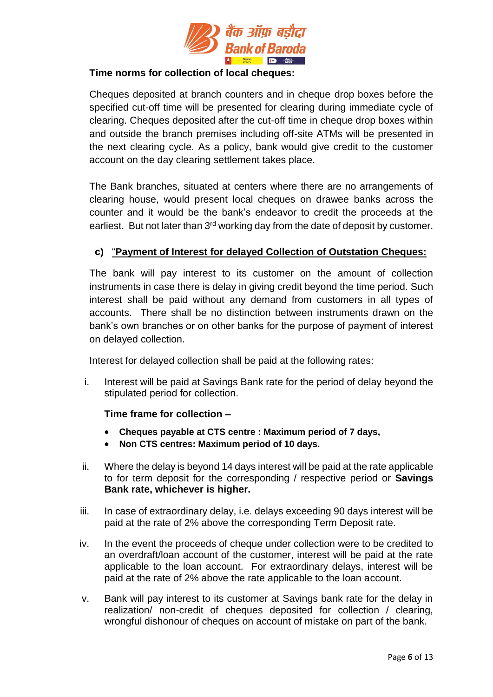

# **Time norms for collection of local cheques:**

Cheques deposited at branch counters and in cheque drop boxes before the specified cut-off time will be presented for clearing during immediate cycle of clearing. Cheques deposited after the cut-off time in cheque drop boxes within and outside the branch premises including off-site ATMs will be presented in the next clearing cycle. As a policy, bank would give credit to the customer account on the day clearing settlement takes place.

The Bank branches, situated at centers where there are no arrangements of clearing house, would present local cheques on drawee banks across the counter and it would be the bank's endeavor to credit the proceeds at the earliest. But not later than 3<sup>rd</sup> working day from the date of deposit by customer.

# **c)** "**Payment of Interest for delayed Collection of Outstation Cheques:**

The bank will pay interest to its customer on the amount of collection instruments in case there is delay in giving credit beyond the time period. Such interest shall be paid without any demand from customers in all types of accounts. There shall be no distinction between instruments drawn on the bank's own branches or on other banks for the purpose of payment of interest on delayed collection.

Interest for delayed collection shall be paid at the following rates:

i. Interest will be paid at Savings Bank rate for the period of delay beyond the stipulated period for collection.

# **Time frame for collection –**

- **Cheques payable at CTS centre : Maximum period of 7 days,**
- **Non CTS centres: Maximum period of 10 days.**
- ii. Where the delay is beyond 14 days interest will be paid at the rate applicable to for term deposit for the corresponding / respective period or **Savings Bank rate, whichever is higher.**
- iii. In case of extraordinary delay, i.e. delays exceeding 90 days interest will be paid at the rate of 2% above the corresponding Term Deposit rate.
- iv. In the event the proceeds of cheque under collection were to be credited to an overdraft/loan account of the customer, interest will be paid at the rate applicable to the loan account. For extraordinary delays, interest will be paid at the rate of 2% above the rate applicable to the loan account.
- v. Bank will pay interest to its customer at Savings bank rate for the delay in realization/ non-credit of cheques deposited for collection / clearing, wrongful dishonour of cheques on account of mistake on part of the bank.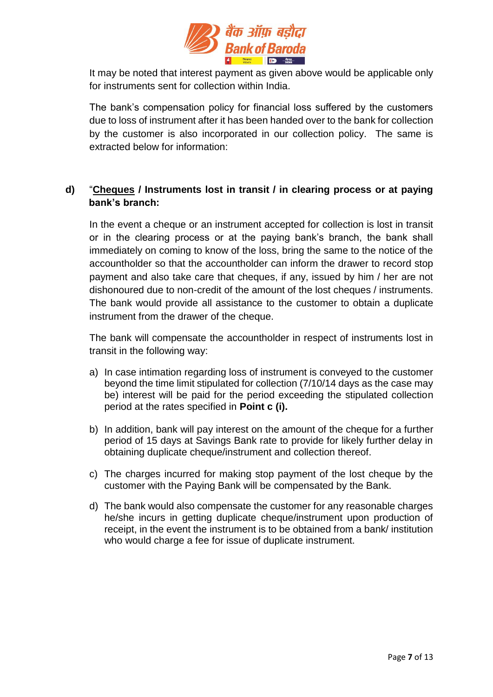

It may be noted that interest payment as given above would be applicable only for instruments sent for collection within India.

The bank's compensation policy for financial loss suffered by the customers due to loss of instrument after it has been handed over to the bank for collection by the customer is also incorporated in our collection policy. The same is extracted below for information:

# **d)** "**Cheques / Instruments lost in transit / in clearing process or at paying bank's branch:**

In the event a cheque or an instrument accepted for collection is lost in transit or in the clearing process or at the paying bank's branch, the bank shall immediately on coming to know of the loss, bring the same to the notice of the accountholder so that the accountholder can inform the drawer to record stop payment and also take care that cheques, if any, issued by him / her are not dishonoured due to non-credit of the amount of the lost cheques / instruments. The bank would provide all assistance to the customer to obtain a duplicate instrument from the drawer of the cheque.

The bank will compensate the accountholder in respect of instruments lost in transit in the following way:

- a) In case intimation regarding loss of instrument is conveyed to the customer beyond the time limit stipulated for collection (7/10/14 days as the case may be) interest will be paid for the period exceeding the stipulated collection period at the rates specified in **Point c (i).**
- b) In addition, bank will pay interest on the amount of the cheque for a further period of 15 days at Savings Bank rate to provide for likely further delay in obtaining duplicate cheque/instrument and collection thereof.
- c) The charges incurred for making stop payment of the lost cheque by the customer with the Paying Bank will be compensated by the Bank.
- d) The bank would also compensate the customer for any reasonable charges he/she incurs in getting duplicate cheque/instrument upon production of receipt, in the event the instrument is to be obtained from a bank/ institution who would charge a fee for issue of duplicate instrument.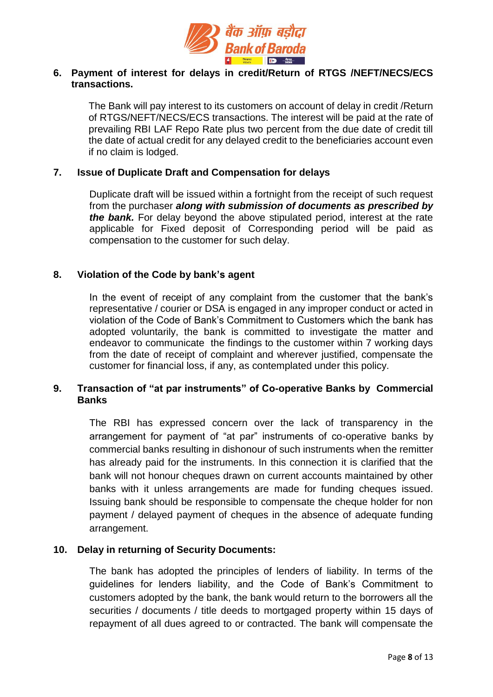

# **6. Payment of interest for delays in credit/Return of RTGS /NEFT/NECS/ECS transactions.**

The Bank will pay interest to its customers on account of delay in credit /Return of RTGS/NEFT/NECS/ECS transactions. The interest will be paid at the rate of prevailing RBI LAF Repo Rate plus two percent from the due date of credit till the date of actual credit for any delayed credit to the beneficiaries account even if no claim is lodged.

#### **7. Issue of Duplicate Draft and Compensation for delays**

Duplicate draft will be issued within a fortnight from the receipt of such request from the purchaser *along with submission of documents as prescribed by the bank.* For delay beyond the above stipulated period, interest at the rate applicable for Fixed deposit of Corresponding period will be paid as compensation to the customer for such delay.

# **8. Violation of the Code by bank's agent**

In the event of receipt of any complaint from the customer that the bank's representative / courier or DSA is engaged in any improper conduct or acted in violation of the Code of Bank's Commitment to Customers which the bank has adopted voluntarily, the bank is committed to investigate the matter and endeavor to communicate the findings to the customer within 7 working days from the date of receipt of complaint and wherever justified, compensate the customer for financial loss, if any, as contemplated under this policy.

# **9. Transaction of "at par instruments" of Co-operative Banks by Commercial Banks**

The RBI has expressed concern over the lack of transparency in the arrangement for payment of "at par" instruments of co-operative banks by commercial banks resulting in dishonour of such instruments when the remitter has already paid for the instruments. In this connection it is clarified that the bank will not honour cheques drawn on current accounts maintained by other banks with it unless arrangements are made for funding cheques issued. Issuing bank should be responsible to compensate the cheque holder for non payment / delayed payment of cheques in the absence of adequate funding arrangement.

# **10. Delay in returning of Security Documents:**

The bank has adopted the principles of lenders of liability. In terms of the guidelines for lenders liability, and the Code of Bank's Commitment to customers adopted by the bank, the bank would return to the borrowers all the securities / documents / title deeds to mortgaged property within 15 days of repayment of all dues agreed to or contracted. The bank will compensate the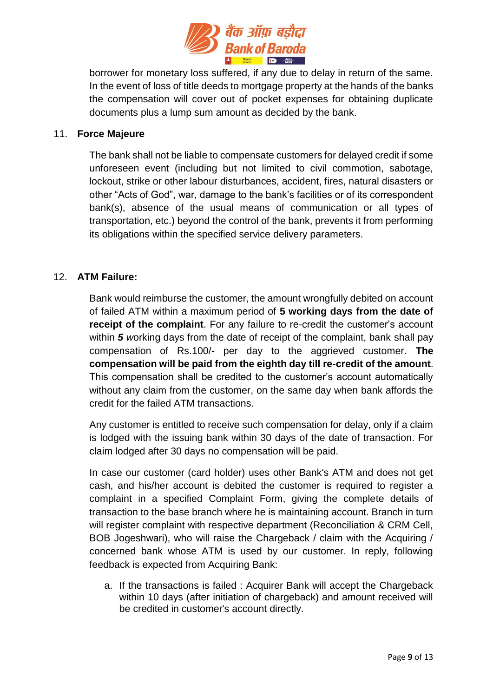

borrower for monetary loss suffered, if any due to delay in return of the same. In the event of loss of title deeds to mortgage property at the hands of the banks the compensation will cover out of pocket expenses for obtaining duplicate documents plus a lump sum amount as decided by the bank.

#### 11. **Force Majeure**

The bank shall not be liable to compensate customers for delayed credit if some unforeseen event (including but not limited to civil commotion, sabotage, lockout, strike or other labour disturbances, accident, fires, natural disasters or other "Acts of God", war, damage to the bank's facilities or of its correspondent bank(s), absence of the usual means of communication or all types of transportation, etc.) beyond the control of the bank, prevents it from performing its obligations within the specified service delivery parameters.

# 12. **ATM Failure:**

Bank would reimburse the customer, the amount wrongfully debited on account of failed ATM within a maximum period of **5 working days from the date of receipt of the complaint**. For any failure to re-credit the customer's account within *5 w*orking days from the date of receipt of the complaint, bank shall pay compensation of Rs.100/- per day to the aggrieved customer. **The compensation will be paid from the eighth day till re-credit of the amount**. This compensation shall be credited to the customer's account automatically without any claim from the customer, on the same day when bank affords the credit for the failed ATM transactions.

Any customer is entitled to receive such compensation for delay, only if a claim is lodged with the issuing bank within 30 days of the date of transaction. For claim lodged after 30 days no compensation will be paid.

In case our customer (card holder) uses other Bank's ATM and does not get cash, and his/her account is debited the customer is required to register a complaint in a specified Complaint Form, giving the complete details of transaction to the base branch where he is maintaining account. Branch in turn will register complaint with respective department (Reconciliation & CRM Cell, BOB Jogeshwari), who will raise the Chargeback / claim with the Acquiring / concerned bank whose ATM is used by our customer. In reply, following feedback is expected from Acquiring Bank:

a. If the transactions is failed : Acquirer Bank will accept the Chargeback within 10 days (after initiation of chargeback) and amount received will be credited in customer's account directly.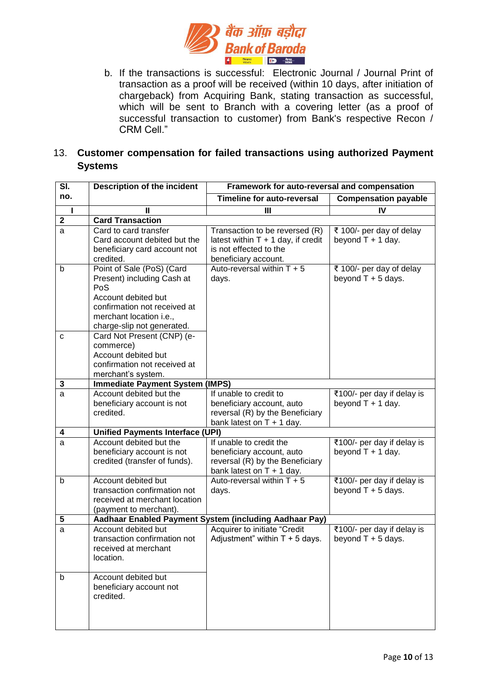

b. If the transactions is successful: Electronic Journal / Journal Print of transaction as a proof will be received (within 10 days, after initiation of chargeback) from Acquiring Bank, stating transaction as successful, which will be sent to Branch with a covering letter (as a proof of successful transaction to customer) from Bank's respective Recon / CRM Cell."

# 13. **Customer compensation for failed transactions using authorized Payment Systems**

| SI.         | <b>Description of the incident</b>                                                                                                                                             | Framework for auto-reversal and compensation                                                                             |                                                    |  |  |  |  |  |
|-------------|--------------------------------------------------------------------------------------------------------------------------------------------------------------------------------|--------------------------------------------------------------------------------------------------------------------------|----------------------------------------------------|--|--|--|--|--|
| no.         |                                                                                                                                                                                | <b>Timeline for auto-reversal</b><br><b>Compensation payable</b>                                                         |                                                    |  |  |  |  |  |
| L           | Ш                                                                                                                                                                              | Ш                                                                                                                        | IV                                                 |  |  |  |  |  |
| $\mathbf 2$ | <b>Card Transaction</b>                                                                                                                                                        |                                                                                                                          |                                                    |  |  |  |  |  |
| a           | Card to card transfer<br>Card account debited but the<br>beneficiary card account not<br>credited.                                                                             | Transaction to be reversed (R)<br>latest within $T + 1$ day, if credit<br>is not effected to the<br>beneficiary account. | ₹ 100/- per day of delay<br>beyond $T + 1$ day.    |  |  |  |  |  |
| b           | Point of Sale (PoS) (Card<br>Present) including Cash at<br>PoS<br>Account debited but<br>confirmation not received at<br>merchant location i.e.,<br>charge-slip not generated. | Auto-reversal within $T + 5$<br>days.                                                                                    | ₹ 100/- per day of delay<br>beyond $T + 5$ days.   |  |  |  |  |  |
| с           | Card Not Present (CNP) (e-<br>commerce)<br>Account debited but<br>confirmation not received at<br>merchant's system.                                                           |                                                                                                                          |                                                    |  |  |  |  |  |
| 3           | <b>Immediate Payment System (IMPS)</b>                                                                                                                                         |                                                                                                                          |                                                    |  |  |  |  |  |
| a           | Account debited but the<br>beneficiary account is not<br>credited.                                                                                                             | If unable to credit to<br>beneficiary account, auto<br>reversal (R) by the Beneficiary<br>bank latest on $T + 1$ day.    | ₹100/- per day if delay is<br>beyond $T + 1$ day.  |  |  |  |  |  |
| 4           | <b>Unified Payments Interface (UPI)</b>                                                                                                                                        |                                                                                                                          |                                                    |  |  |  |  |  |
| a           | Account debited but the<br>beneficiary account is not<br>credited (transfer of funds).                                                                                         | If unable to credit the<br>beneficiary account, auto<br>reversal (R) by the Beneficiary<br>bank latest on $T + 1$ day.   | ₹100/- per day if delay is<br>beyond $T + 1$ day.  |  |  |  |  |  |
| b           | Account debited but<br>transaction confirmation not<br>received at merchant location<br>(payment to merchant).                                                                 | Auto-reversal within $T + 5$<br>days.                                                                                    | ₹100/- per day if delay is<br>beyond $T + 5$ days. |  |  |  |  |  |
| 5           | Aadhaar Enabled Payment System (including Aadhaar Pay)                                                                                                                         |                                                                                                                          |                                                    |  |  |  |  |  |
| a           | Account debited but<br>transaction confirmation not<br>received at merchant<br>location.                                                                                       | Acquirer to initiate "Credit<br>Adjustment" within $T + 5$ days.                                                         | ₹100/- per day if delay is<br>beyond $T + 5$ days. |  |  |  |  |  |
| b           | Account debited but<br>beneficiary account not<br>credited.                                                                                                                    |                                                                                                                          |                                                    |  |  |  |  |  |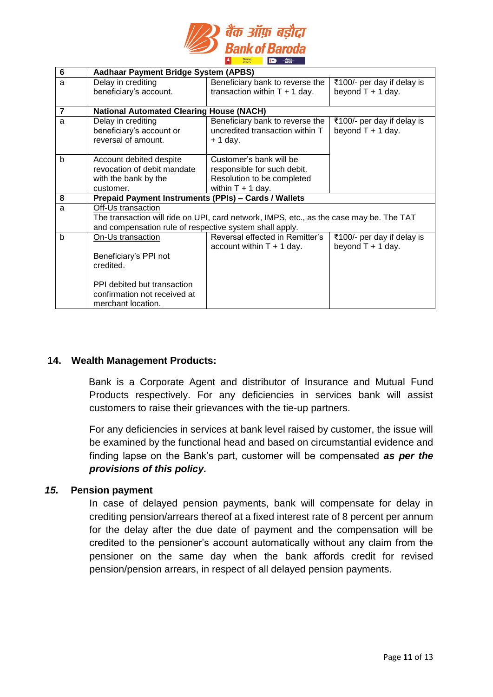

| Aadhaar Payment Bridge System (APBS)                    |                                                                                         |                            |  |  |  |  |  |
|---------------------------------------------------------|-----------------------------------------------------------------------------------------|----------------------------|--|--|--|--|--|
| Delay in crediting                                      | Beneficiary bank to reverse the                                                         | ₹100/- per day if delay is |  |  |  |  |  |
| beneficiary's account.                                  | transaction within $T + 1$ day.                                                         | beyond $T + 1$ day.        |  |  |  |  |  |
|                                                         |                                                                                         |                            |  |  |  |  |  |
| <b>National Automated Clearing House (NACH)</b>         |                                                                                         |                            |  |  |  |  |  |
| Delay in crediting                                      | Beneficiary bank to reverse the                                                         | ₹100/- per day if delay is |  |  |  |  |  |
| beneficiary's account or                                | uncredited transaction within T                                                         | beyond $T + 1$ day.        |  |  |  |  |  |
| reversal of amount.                                     | $+1$ day.                                                                               |                            |  |  |  |  |  |
|                                                         |                                                                                         |                            |  |  |  |  |  |
| Account debited despite                                 | Customer's bank will be                                                                 |                            |  |  |  |  |  |
| revocation of debit mandate                             | responsible for such debit.                                                             |                            |  |  |  |  |  |
| with the bank by the                                    | Resolution to be completed                                                              |                            |  |  |  |  |  |
| customer.                                               | within $T + 1$ day.                                                                     |                            |  |  |  |  |  |
| Prepaid Payment Instruments (PPIs) - Cards / Wallets    |                                                                                         |                            |  |  |  |  |  |
| Off-Us transaction                                      |                                                                                         |                            |  |  |  |  |  |
|                                                         | The transaction will ride on UPI, card network, IMPS, etc., as the case may be. The TAT |                            |  |  |  |  |  |
| and compensation rule of respective system shall apply. |                                                                                         |                            |  |  |  |  |  |
| On-Us transaction                                       | Reversal effected in Remitter's                                                         | ₹100/- per day if delay is |  |  |  |  |  |
|                                                         | account within $T + 1$ day.                                                             | beyond $T + 1$ day.        |  |  |  |  |  |
| Beneficiary's PPI not                                   |                                                                                         |                            |  |  |  |  |  |
| credited.                                               |                                                                                         |                            |  |  |  |  |  |
|                                                         |                                                                                         |                            |  |  |  |  |  |
| PPI debited but transaction                             |                                                                                         |                            |  |  |  |  |  |
| confirmation not received at                            |                                                                                         |                            |  |  |  |  |  |
| merchant location.                                      |                                                                                         |                            |  |  |  |  |  |
|                                                         |                                                                                         |                            |  |  |  |  |  |

# **14. Wealth Management Products:**

Bank is a Corporate Agent and distributor of Insurance and Mutual Fund Products respectively. For any deficiencies in services bank will assist customers to raise their grievances with the tie-up partners.

For any deficiencies in services at bank level raised by customer, the issue will be examined by the functional head and based on circumstantial evidence and finding lapse on the Bank's part, customer will be compensated *as per the provisions of this policy.*

#### *15.* **Pension payment**

In case of delayed pension payments, bank will compensate for delay in crediting pension/arrears thereof at a fixed interest rate of 8 percent per annum for the delay after the due date of payment and the compensation will be credited to the pensioner's account automatically without any claim from the pensioner on the same day when the bank affords credit for revised pension/pension arrears, in respect of all delayed pension payments.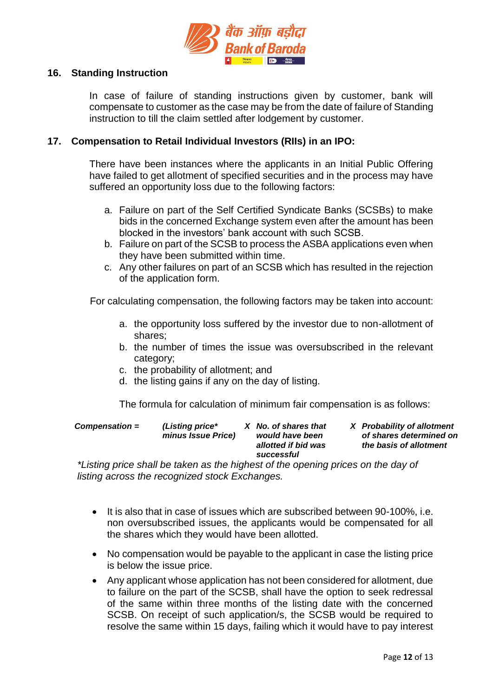

#### **16. Standing Instruction**

In case of failure of standing instructions given by customer, bank will compensate to customer as the case may be from the date of failure of Standing instruction to till the claim settled after lodgement by customer.

#### **17. Compensation to Retail Individual Investors (RIIs) in an IPO:**

There have been instances where the applicants in an Initial Public Offering have failed to get allotment of specified securities and in the process may have suffered an opportunity loss due to the following factors:

- a. Failure on part of the Self Certified Syndicate Banks (SCSBs) to make bids in the concerned Exchange system even after the amount has been blocked in the investors' bank account with such SCSB.
- b. Failure on part of the SCSB to process the ASBA applications even when they have been submitted within time.
- c. Any other failures on part of an SCSB which has resulted in the rejection of the application form.

For calculating compensation, the following factors may be taken into account:

- a. the opportunity loss suffered by the investor due to non-allotment of shares;
- b. the number of times the issue was oversubscribed in the relevant category;
- c. the probability of allotment; and
- d. the listing gains if any on the day of listing.

The formula for calculation of minimum fair compensation is as follows:

| $Compensation =$ | (Listing price*<br>minus Issue Price) | X No. of shares that<br>would have been<br>allotted if bid was<br>successful | X Probability of allotment<br>of shares determined on<br>the basis of allotment |
|------------------|---------------------------------------|------------------------------------------------------------------------------|---------------------------------------------------------------------------------|
|                  |                                       |                                                                              |                                                                                 |

*\*Listing price shall be taken as the highest of the opening prices on the day of listing across the recognized stock Exchanges.* 

- It is also that in case of issues which are subscribed between 90-100%, i.e. non oversubscribed issues, the applicants would be compensated for all the shares which they would have been allotted.
- No compensation would be payable to the applicant in case the listing price is below the issue price.
- Any applicant whose application has not been considered for allotment, due to failure on the part of the SCSB, shall have the option to seek redressal of the same within three months of the listing date with the concerned SCSB. On receipt of such application/s, the SCSB would be required to resolve the same within 15 days, failing which it would have to pay interest